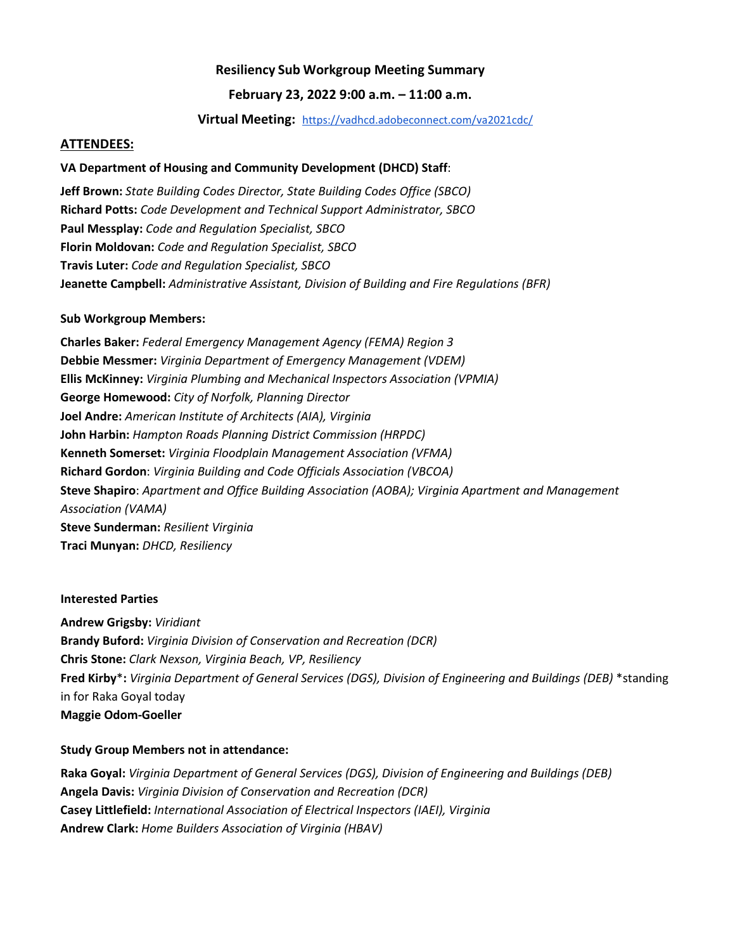## **Resiliency Sub Workgroup Meeting Summary**

### **February 23, 2022 9:00 a.m. – 11:00 a.m.**

#### **Virtual Meeting:** <https://vadhcd.adobeconnect.com/va2021cdc/>

#### **ATTENDEES:**

#### **VA Department of Housing and Community Development (DHCD) Staff**:

**Jeff Brown:** *State Building Codes Director, State Building Codes Office (SBCO)* **Richard Potts:** *Code Development and Technical Support Administrator, SBCO* **Paul Messplay:** *Code and Regulation Specialist, SBCO* **Florin Moldovan:** *Code and Regulation Specialist, SBCO* **Travis Luter:** *Code and Regulation Specialist, SBCO* **Jeanette Campbell:** *Administrative Assistant, Division of Building and Fire Regulations (BFR)*

#### **Sub Workgroup Members:**

**Charles Baker:** *Federal Emergency Management Agency (FEMA) Region 3* **Debbie Messmer:** *Virginia Department of Emergency Management (VDEM)* **Ellis McKinney:** *Virginia Plumbing and Mechanical Inspectors Association (VPMIA)* **George Homewood:** *City of Norfolk, Planning Director* **Joel Andre:** *American Institute of Architects (AIA), Virginia* **John Harbin:** *Hampton Roads Planning District Commission (HRPDC)* **Kenneth Somerset:** *Virginia Floodplain Management Association (VFMA)* **Richard Gordon**: *Virginia Building and Code Officials Association (VBCOA)* **Steve Shapiro**: *Apartment and Office Building Association (AOBA); Virginia Apartment and Management Association (VAMA)* **Steve Sunderman:** *Resilient Virginia* **Traci Munyan:** *DHCD, Resiliency*

#### **Interested Parties**

**Andrew Grigsby:** *Viridiant* **Brandy Buford:** *Virginia Division of Conservation and Recreation (DCR)* **Chris Stone:** *Clark Nexson, Virginia Beach, VP, Resiliency* **Fred Kirby**\***:** *Virginia Department of General Services (DGS), Division of Engineering and Buildings (DEB)* \*standing in for Raka Goyal today **Maggie Odom-Goeller**

#### **Study Group Members not in attendance:**

**Raka Goyal:** *Virginia Department of General Services (DGS), Division of Engineering and Buildings (DEB)* **Angela Davis:** *Virginia Division of Conservation and Recreation (DCR)* **Casey Littlefield:** *International Association of Electrical Inspectors (IAEI), Virginia* **Andrew Clark:** *Home Builders Association of Virginia (HBAV)*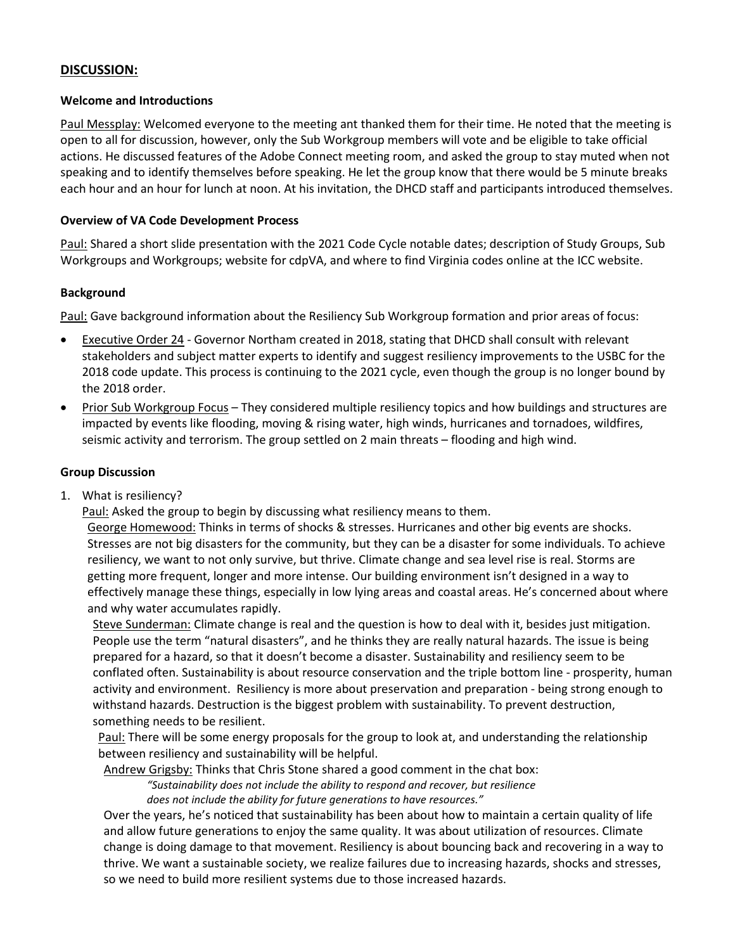## **DISCUSSION:**

### **Welcome and Introductions**

Paul Messplay: Welcomed everyone to the meeting ant thanked them for their time. He noted that the meeting is open to all for discussion, however, only the Sub Workgroup members will vote and be eligible to take official actions. He discussed features of the Adobe Connect meeting room, and asked the group to stay muted when not speaking and to identify themselves before speaking. He let the group know that there would be 5 minute breaks each hour and an hour for lunch at noon. At his invitation, the DHCD staff and participants introduced themselves.

## **Overview of VA Code Development Process**

Paul: Shared a short slide presentation with the 2021 Code Cycle notable dates; description of Study Groups, Sub Workgroups and Workgroups; website for cdpVA, and where to find Virginia codes online at the ICC website.

### **Background**

Paul: Gave background information about the Resiliency Sub Workgroup formation and prior areas of focus:

- Executive Order 24 Governor Northam created in 2018, stating that DHCD shall consult with relevant stakeholders and subject matter experts to identify and suggest resiliency improvements to the USBC for the 2018 code update. This process is continuing to the 2021 cycle, even though the group is no longer bound by the 2018 order.
- Prior Sub Workgroup Focus They considered multiple resiliency topics and how buildings and structures are impacted by events like flooding, moving & rising water, high winds, hurricanes and tornadoes, wildfires, seismic activity and terrorism. The group settled on 2 main threats – flooding and high wind.

### **Group Discussion**

1. What is resiliency?

Paul: Asked the group to begin by discussing what resiliency means to them.

George Homewood: Thinks in terms of shocks & stresses. Hurricanes and other big events are shocks. Stresses are not big disasters for the community, but they can be a disaster for some individuals. To achieve resiliency, we want to not only survive, but thrive. Climate change and sea level rise is real. Storms are getting more frequent, longer and more intense. Our building environment isn't designed in a way to effectively manage these things, especially in low lying areas and coastal areas. He's concerned about where and why water accumulates rapidly.

Steve Sunderman: Climate change is real and the question is how to deal with it, besides just mitigation. People use the term "natural disasters", and he thinks they are really natural hazards. The issue is being prepared for a hazard, so that it doesn't become a disaster. Sustainability and resiliency seem to be conflated often. Sustainability is about resource conservation and the triple bottom line - prosperity, human activity and environment. Resiliency is more about preservation and preparation - being strong enough to withstand hazards. Destruction is the biggest problem with sustainability. To prevent destruction, something needs to be resilient.

Paul: There will be some energy proposals for the group to look at, and understanding the relationship between resiliency and sustainability will be helpful.

Andrew Grigsby: Thinks that Chris Stone shared a good comment in the chat box:

*"Sustainability does not include the ability to respond and recover, but resilience does not include the ability for future generations to have resources."*

Over the years, he's noticed that sustainability has been about how to maintain a certain quality of life and allow future generations to enjoy the same quality. It was about utilization of resources. Climate change is doing damage to that movement. Resiliency is about bouncing back and recovering in a way to thrive. We want a sustainable society, we realize failures due to increasing hazards, shocks and stresses, so we need to build more resilient systems due to those increased hazards.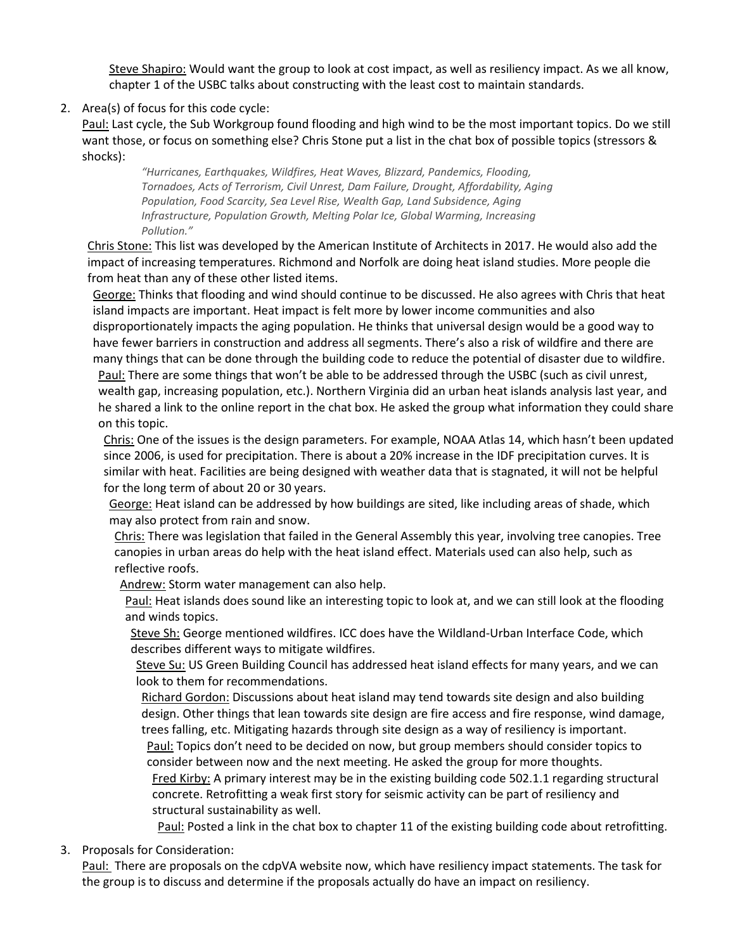Steve Shapiro: Would want the group to look at cost impact, as well as resiliency impact. As we all know, chapter 1 of the USBC talks about constructing with the least cost to maintain standards.

2. Area(s) of focus for this code cycle:

Paul: Last cycle, the Sub Workgroup found flooding and high wind to be the most important topics. Do we still want those, or focus on something else? Chris Stone put a list in the chat box of possible topics (stressors & shocks):

*"Hurricanes, Earthquakes, Wildfires, Heat Waves, Blizzard, Pandemics, Flooding, Tornadoes, Acts of Terrorism, Civil Unrest, Dam Failure, Drought, Affordability, Aging Population, Food Scarcity, Sea Level Rise, Wealth Gap, Land Subsidence, Aging Infrastructure, Population Growth, Melting Polar Ice, Global Warming, Increasing Pollution."*

Chris Stone: This list was developed by the American Institute of Architects in 2017. He would also add the impact of increasing temperatures. Richmond and Norfolk are doing heat island studies. More people die from heat than any of these other listed items.

George: Thinks that flooding and wind should continue to be discussed. He also agrees with Chris that heat island impacts are important. Heat impact is felt more by lower income communities and also disproportionately impacts the aging population. He thinks that universal design would be a good way to have fewer barriers in construction and address all segments. There's also a risk of wildfire and there are many things that can be done through the building code to reduce the potential of disaster due to wildfire.

Paul: There are some things that won't be able to be addressed through the USBC (such as civil unrest, wealth gap, increasing population, etc.). Northern Virginia did an urban heat islands analysis last year, and he shared a link to the online report in the chat box. He asked the group what information they could share on this topic.

Chris: One of the issues is the design parameters. For example, NOAA Atlas 14, which hasn't been updated since 2006, is used for precipitation. There is about a 20% increase in the IDF precipitation curves. It is similar with heat. Facilities are being designed with weather data that is stagnated, it will not be helpful for the long term of about 20 or 30 years.

George: Heat island can be addressed by how buildings are sited, like including areas of shade, which may also protect from rain and snow.

Chris: There was legislation that failed in the General Assembly this year, involving tree canopies. Tree canopies in urban areas do help with the heat island effect. Materials used can also help, such as reflective roofs.

Andrew: Storm water management can also help.

Paul: Heat islands does sound like an interesting topic to look at, and we can still look at the flooding and winds topics.

Steve Sh: George mentioned wildfires. ICC does have the Wildland-Urban Interface Code, which describes different ways to mitigate wildfires.

Steve Su: US Green Building Council has addressed heat island effects for many years, and we can look to them for recommendations.

Richard Gordon: Discussions about heat island may tend towards site design and also building design. Other things that lean towards site design are fire access and fire response, wind damage, trees falling, etc. Mitigating hazards through site design as a way of resiliency is important.

Paul: Topics don't need to be decided on now, but group members should consider topics to consider between now and the next meeting. He asked the group for more thoughts.

Fred Kirby: A primary interest may be in the existing building code 502.1.1 regarding structural concrete. Retrofitting a weak first story for seismic activity can be part of resiliency and structural sustainability as well.

Paul: Posted a link in the chat box to chapter 11 of the existing building code about retrofitting.

3. Proposals for Consideration:

Paul: There are proposals on the cdpVA website now, which have resiliency impact statements. The task for the group is to discuss and determine if the proposals actually do have an impact on resiliency.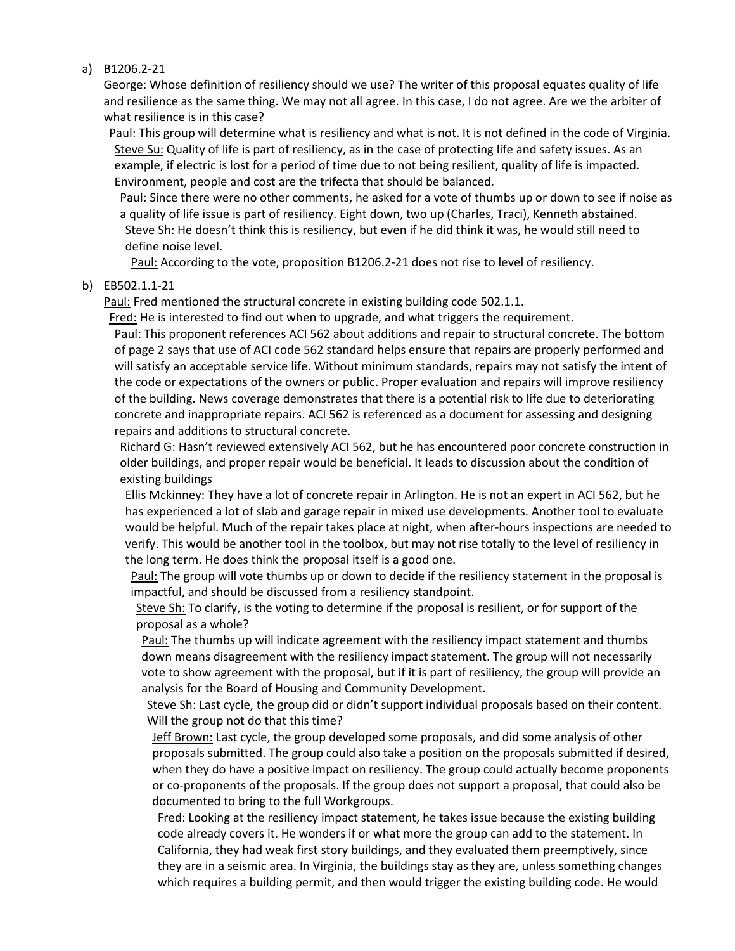a) B1206.2-21

George: Whose definition of resiliency should we use? The writer of this proposal equates quality of life and resilience as the same thing. We may not all agree. In this case, I do not agree. Are we the arbiter of what resilience is in this case?

Paul: This group will determine what is resiliency and what is not. It is not defined in the code of Virginia. Steve Su: Quality of life is part of resiliency, as in the case of protecting life and safety issues. As an example, if electric is lost for a period of time due to not being resilient, quality of life is impacted. Environment, people and cost are the trifecta that should be balanced.

Paul: Since there were no other comments, he asked for a vote of thumbs up or down to see if noise as a quality of life issue is part of resiliency. Eight down, two up (Charles, Traci), Kenneth abstained. Steve Sh: He doesn't think this is resiliency, but even if he did think it was, he would still need to define noise level.

Paul: According to the vote, proposition B1206.2-21 does not rise to level of resiliency.

#### b) EB502.1.1-21

Paul: Fred mentioned the structural concrete in existing building code 502.1.1.

Fred: He is interested to find out when to upgrade, and what triggers the requirement.

Paul: This proponent references ACI 562 about additions and repair to structural concrete. The bottom of page 2 says that use of ACI code 562 standard helps ensure that repairs are properly performed and will satisfy an acceptable service life. Without minimum standards, repairs may not satisfy the intent of the code or expectations of the owners or public. Proper evaluation and repairs will improve resiliency of the building. News coverage demonstrates that there is a potential risk to life due to deteriorating concrete and inappropriate repairs. ACI 562 is referenced as a document for assessing and designing repairs and additions to structural concrete.

Richard G: Hasn't reviewed extensively ACI 562, but he has encountered poor concrete construction in older buildings, and proper repair would be beneficial. It leads to discussion about the condition of existing buildings

Ellis Mckinney: They have a lot of concrete repair in Arlington. He is not an expert in ACI 562, but he has experienced a lot of slab and garage repair in mixed use developments. Another tool to evaluate would be helpful. Much of the repair takes place at night, when after-hours inspections are needed to verify. This would be another tool in the toolbox, but may not rise totally to the level of resiliency in the long term. He does think the proposal itself is a good one.

Paul: The group will vote thumbs up or down to decide if the resiliency statement in the proposal is impactful, and should be discussed from a resiliency standpoint.

Steve Sh: To clarify, is the voting to determine if the proposal is resilient, or for support of the proposal as a whole?

Paul: The thumbs up will indicate agreement with the resiliency impact statement and thumbs down means disagreement with the resiliency impact statement. The group will not necessarily vote to show agreement with the proposal, but if it is part of resiliency, the group will provide an analysis for the Board of Housing and Community Development.

Steve Sh: Last cycle, the group did or didn't support individual proposals based on their content. Will the group not do that this time?

Jeff Brown: Last cycle, the group developed some proposals, and did some analysis of other proposals submitted. The group could also take a position on the proposals submitted if desired, when they do have a positive impact on resiliency. The group could actually become proponents or co-proponents of the proposals. If the group does not support a proposal, that could also be documented to bring to the full Workgroups.

Fred: Looking at the resiliency impact statement, he takes issue because the existing building code already covers it. He wonders if or what more the group can add to the statement. In California, they had weak first story buildings, and they evaluated them preemptively, since they are in a seismic area. In Virginia, the buildings stay as they are, unless something changes which requires a building permit, and then would trigger the existing building code. He would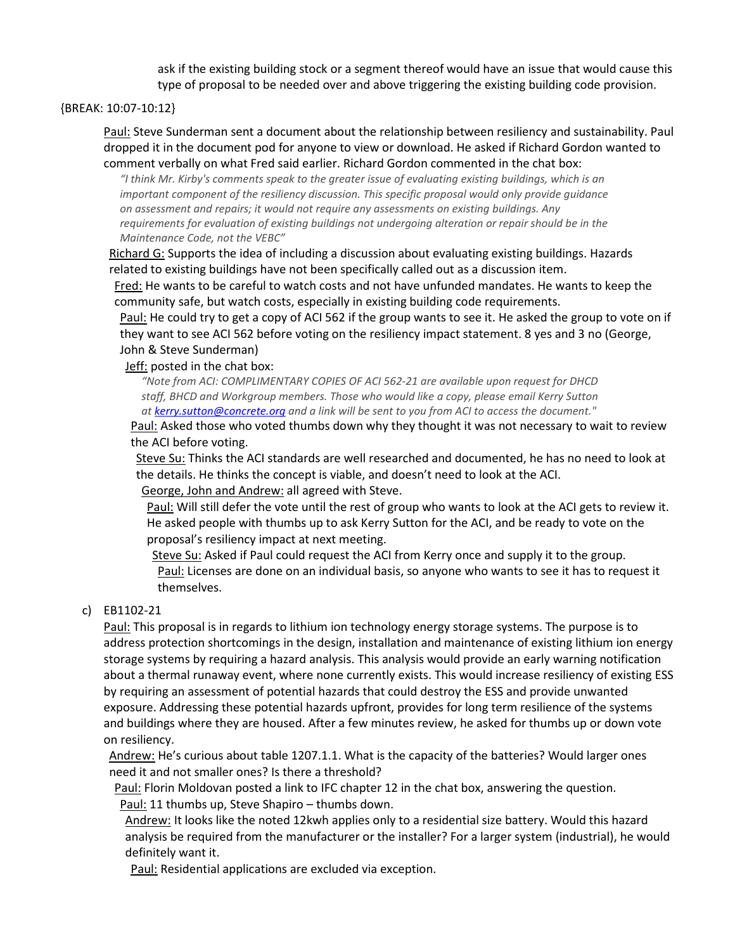ask if the existing building stock or a segment thereof would have an issue that would cause this type of proposal to be needed over and above triggering the existing building code provision.

{BREAK: 10:07-10:12}

Paul: Steve Sunderman sent a document about the relationship between resiliency and sustainability. Paul dropped it in the document pod for anyone to view or download. He asked if Richard Gordon wanted to comment verbally on what Fred said earlier. Richard Gordon commented in the chat box:

*"I think Mr. Kirby's comments speak to the greater issue of evaluating existing buildings, which is an important component of the resiliency discussion. This specific proposal would only provide guidance on assessment and repairs; it would not require any assessments on existing buildings. Any requirements for evaluation of existing buildings not undergoing alteration or repair should be in the Maintenance Code, not the VEBC"*

Richard G: Supports the idea of including a discussion about evaluating existing buildings. Hazards related to existing buildings have not been specifically called out as a discussion item.

Fred: He wants to be careful to watch costs and not have unfunded mandates. He wants to keep the community safe, but watch costs, especially in existing building code requirements.

Paul: He could try to get a copy of ACI 562 if the group wants to see it. He asked the group to vote on if they want to see ACI 562 before voting on the resiliency impact statement. 8 yes and 3 no (George, John & Steve Sunderman)

Jeff: posted in the chat box:

*"Note from ACI: COMPLIMENTARY COPIES OF ACI 562-21 are available upon request for DHCD staff, BHCD and Workgroup members. Those who would like a copy, please email Kerry Sutton a[t kerry.sutton@concrete.org](mailto:kerry.sutton@concrete.org) and a link will be sent to you from ACI to access the document."*

Paul: Asked those who voted thumbs down why they thought it was not necessary to wait to review the ACI before voting.

Steve Su: Thinks the ACI standards are well researched and documented, he has no need to look at the details. He thinks the concept is viable, and doesn't need to look at the ACI.

George, John and Andrew: all agreed with Steve.

Paul: Will still defer the vote until the rest of group who wants to look at the ACI gets to review it. He asked people with thumbs up to ask Kerry Sutton for the ACI, and be ready to vote on the proposal's resiliency impact at next meeting.

Steve Su: Asked if Paul could request the ACI from Kerry once and supply it to the group. Paul: Licenses are done on an individual basis, so anyone who wants to see it has to request it themselves.

### c) EB1102-21

Paul: This proposal is in regards to lithium ion technology energy storage systems. The purpose is to address protection shortcomings in the design, installation and maintenance of existing lithium ion energy storage systems by requiring a hazard analysis. This analysis would provide an early warning notification about a thermal runaway event, where none currently exists. This would increase resiliency of existing ESS by requiring an assessment of potential hazards that could destroy the ESS and provide unwanted exposure. Addressing these potential hazards upfront, provides for long term resilience of the systems and buildings where they are housed. After a few minutes review, he asked for thumbs up or down vote on resiliency.

Andrew: He's curious about table 1207.1.1. What is the capacity of the batteries? Would larger ones need it and not smaller ones? Is there a threshold?

Paul: Florin Moldovan posted a link to IFC chapter 12 in the chat box, answering the question. Paul: 11 thumbs up, Steve Shapiro – thumbs down.

Andrew: It looks like the noted 12kwh applies only to a residential size battery. Would this hazard analysis be required from the manufacturer or the installer? For a larger system (industrial), he would definitely want it.

Paul: Residential applications are excluded via exception.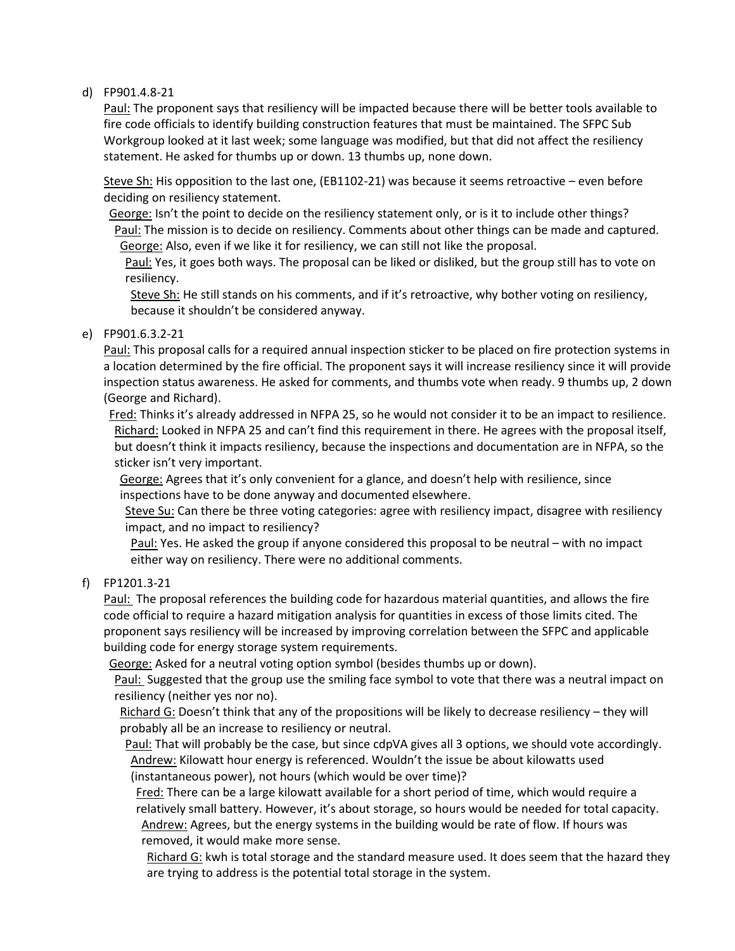## d) FP901.4.8-21

Paul: The proponent says that resiliency will be impacted because there will be better tools available to fire code officials to identify building construction features that must be maintained. The SFPC Sub Workgroup looked at it last week; some language was modified, but that did not affect the resiliency statement. He asked for thumbs up or down. 13 thumbs up, none down.

Steve Sh: His opposition to the last one, (EB1102-21) was because it seems retroactive – even before deciding on resiliency statement.

George: Isn't the point to decide on the resiliency statement only, or is it to include other things? Paul: The mission is to decide on resiliency. Comments about other things can be made and captured. George: Also, even if we like it for resiliency, we can still not like the proposal.

Paul: Yes, it goes both ways. The proposal can be liked or disliked, but the group still has to vote on resiliency.

Steve Sh: He still stands on his comments, and if it's retroactive, why bother voting on resiliency, because it shouldn't be considered anyway.

e) FP901.6.3.2-21

Paul: This proposal calls for a required annual inspection sticker to be placed on fire protection systems in a location determined by the fire official. The proponent says it will increase resiliency since it will provide inspection status awareness. He asked for comments, and thumbs vote when ready. 9 thumbs up, 2 down (George and Richard).

Fred: Thinks it's already addressed in NFPA 25, so he would not consider it to be an impact to resilience. Richard: Looked in NFPA 25 and can't find this requirement in there. He agrees with the proposal itself, but doesn't think it impacts resiliency, because the inspections and documentation are in NFPA, so the sticker isn't very important.

George: Agrees that it's only convenient for a glance, and doesn't help with resilience, since inspections have to be done anyway and documented elsewhere.

Steve Su: Can there be three voting categories: agree with resiliency impact, disagree with resiliency impact, and no impact to resiliency?

Paul: Yes. He asked the group if anyone considered this proposal to be neutral – with no impact either way on resiliency. There were no additional comments.

## f) FP1201.3-21

Paul: The proposal references the building code for hazardous material quantities, and allows the fire code official to require a hazard mitigation analysis for quantities in excess of those limits cited. The proponent says resiliency will be increased by improving correlation between the SFPC and applicable building code for energy storage system requirements.

George: Asked for a neutral voting option symbol (besides thumbs up or down).

Paul: Suggested that the group use the smiling face symbol to vote that there was a neutral impact on resiliency (neither yes nor no).

Richard G: Doesn't think that any of the propositions will be likely to decrease resiliency – they will probably all be an increase to resiliency or neutral.

Paul: That will probably be the case, but since cdpVA gives all 3 options, we should vote accordingly. Andrew: Kilowatt hour energy is referenced. Wouldn't the issue be about kilowatts used (instantaneous power), not hours (which would be over time)?

Fred: There can be a large kilowatt available for a short period of time, which would require a relatively small battery. However, it's about storage, so hours would be needed for total capacity. Andrew: Agrees, but the energy systems in the building would be rate of flow. If hours was removed, it would make more sense.

Richard G: kwh is total storage and the standard measure used. It does seem that the hazard they are trying to address is the potential total storage in the system.